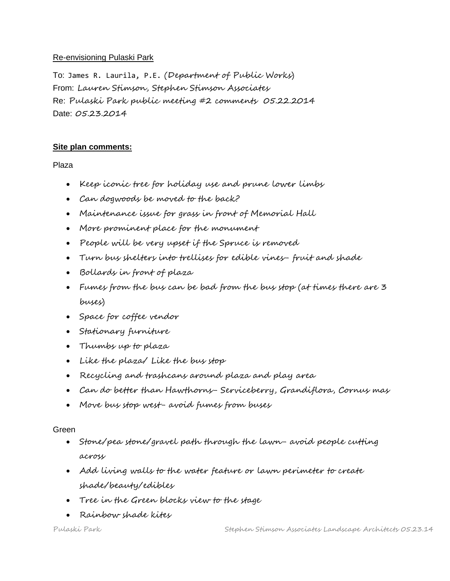## Re-envisioning Pulaski Park

To: James R. Laurila, P.E. (Department of Public Works) From: Lauren Stimson, Stephen Stimson Associates Re: Pulaski Park public meeting #2 comments 05.22.2014 Date: 05.23.2014

# **Site plan comments:**

Plaza

- Keep iconic tree for holiday use and prune lower limbs
- Can dogwoods be moved to the back?
- Maintenance issue for grass in front of Memorial Hall
- More prominent place for the monument
- People will be very upset if the Spruce is removed
- Turn bus shelters into trellises for edible vines- fruit and shade
- Bollards in front of plaza
- Fumes from the bus can be bad from the bus stop (at times there are 3 buses)
- Space for coffee vendor
- Stationary furniture
- Thumbs up to plaza
- Like the plaza/ Like the bus stop
- Recycling and trashcans around plaza and play area
- Can do better than Hawthorns- Serviceberry, Grandiflora, Cornus mas
- Move bus stop west- avoid fumes from buses

#### Green

- Stone/pea stone/gravel path through the lawn- avoid people cutting across
- Add living walls to the water feature or lawn perimeter to create shade/beauty/edibles
- Tree in the Green blocks view to the stage
- Rainbow shade kites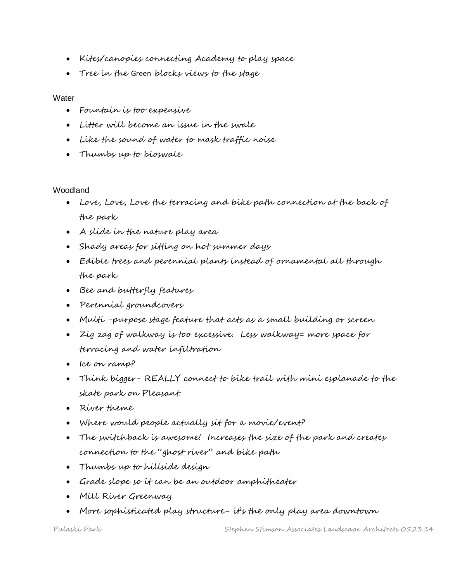- Kites/canopies connecting Academy to play space
- Tree in the Green blocks views to the stage

### **Water**

- Fountain is too expensive
- Litter will become an issue in the swale
- Like the sound of water to mask traffic noise
- Thumbs up to bioswale

# Woodland

- Love, Love, Love the terracing and bike path connection at the back of the park
- A slide in the nature play area
- Shady areas for sitting on hot summer days
- Edible trees and perennial plants instead of ornamental all through the park
- Bee and butterfly features
- Perennial groundcovers
- Multi -purpose stage feature that acts as a small building or screen
- Zig zag of walkway is too excessive. Less walkway= more space for terracing and water infiltration
- Ice on ramp?
- Think bigger- REALLY connect to bike trail with mini esplanade to the skate park on Pleasant.
- River theme
- Where would people actually sit for a movie/event?
- The switchback is awesome! Increases the size of the park and creates connection to the "ghost river" and bike path
- Thumbs up to hillside design
- Grade slope so it can be an outdoor amphitheater
- Mill River Greenway
- More sophisticated play structure- it's the only play area downtown